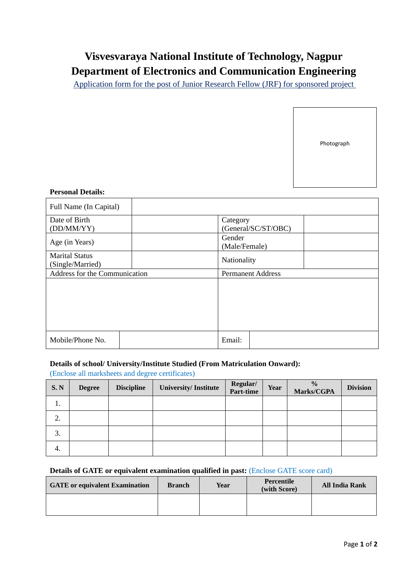# **Visvesvaraya National Institute of Technology, Nagpur Department of Electronics and Communication Engineering**

Application form for the post of Junior Research Fellow (JRF) for sponsored project

Photograph

#### **Personal Details:**

| Full Name (In Capital)                    |  |                                 |  |  |
|-------------------------------------------|--|---------------------------------|--|--|
| Date of Birth<br>(DD/MM/YY)               |  | Category<br>(General/SC/ST/OBC) |  |  |
| Age (in Years)                            |  | Gender<br>(Male/Female)         |  |  |
| <b>Marital Status</b><br>(Single/Married) |  | Nationality                     |  |  |
| Address for the Communication             |  | <b>Permanent Address</b>        |  |  |
|                                           |  |                                 |  |  |
| Mobile/Phone No.                          |  | Email:                          |  |  |

# **Details of school/ University/Institute Studied (From Matriculation Onward):**

(Enclose all marksheets and degree certificates)

| S. N    | <b>Degree</b> | <b>Discipline</b> | <b>University/Institute</b> | Regular/<br>Part-time | Year | $\frac{0}{0}$<br>Marks/CGPA | <b>Division</b> |
|---------|---------------|-------------------|-----------------------------|-----------------------|------|-----------------------------|-----------------|
| .,      |               |                   |                             |                       |      |                             |                 |
| ◠<br>۷. |               |                   |                             |                       |      |                             |                 |
| 3.      |               |                   |                             |                       |      |                             |                 |
| 4.      |               |                   |                             |                       |      |                             |                 |

# **Details of GATE or equivalent examination qualified in past:** (Enclose GATE score card)

| <b>GATE</b> or equivalent Examination | <b>Branch</b> | Year | Percentile<br>(with Score) | <b>All India Rank</b> |
|---------------------------------------|---------------|------|----------------------------|-----------------------|
|                                       |               |      |                            |                       |